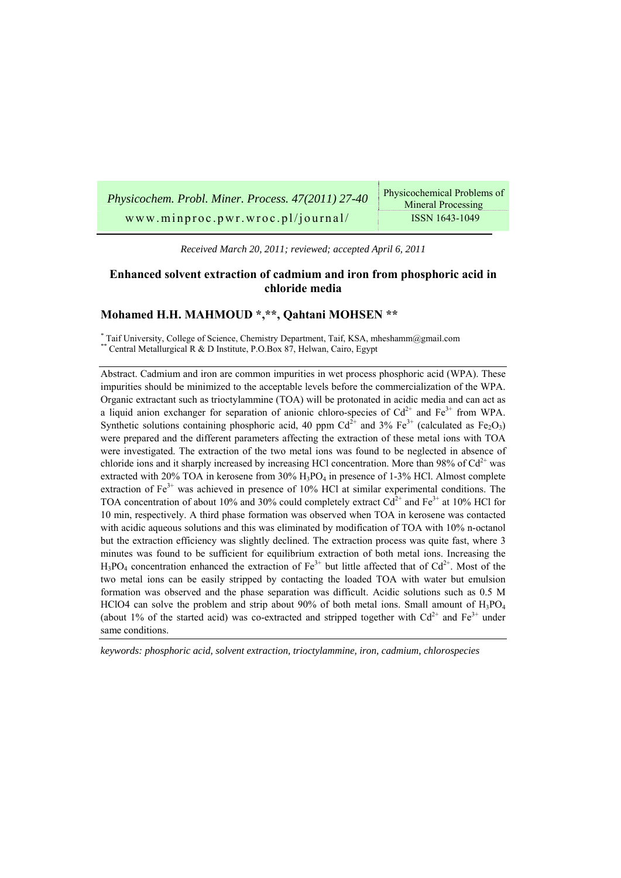| Physicochem. Probl. Miner. Process. 47(2011) 27-40 | Physicochemical Problems of<br><b>Mineral Processing</b> |
|----------------------------------------------------|----------------------------------------------------------|
| www.minproc.pwr.wroc.pl/journal/                   | ISSN 1643-1049                                           |

*Received March 20, 2011; reviewed; accepted April 6, 2011* 

## **Enhanced solvent extraction of cadmium and iron from phosphoric acid in chloride media**

## **Mohamed H.H. MAHMOUD \*,\*\*, Qahtani MOHSEN \*\***

*\** Taif University, College of Science, Chemistry Department, Taif, KSA, mheshamm@gmail.com *\*\** Central Metallurgical R & D Institute, P.O.Box 87, Helwan, Cairo, Egypt

Abstract. Cadmium and iron are common impurities in wet process phosphoric acid (WPA). These impurities should be minimized to the acceptable levels before the commercialization of the WPA. Organic extractant such as trioctylammine (TOA) will be protonated in acidic media and can act as a liquid anion exchanger for separation of anionic chloro-species of  $Cd^{2+}$  and  $Fe^{3+}$  from WPA. Synthetic solutions containing phosphoric acid, 40 ppm  $Cd^{2+}$  and 3% Fe<sup>3+</sup> (calculated as Fe<sub>2</sub>O<sub>3</sub>) were prepared and the different parameters affecting the extraction of these metal ions with TOA were investigated. The extraction of the two metal ions was found to be neglected in absence of chloride ions and it sharply increased by increasing HCl concentration. More than 98% of  $Cd^{2+}$  was extracted with 20% TOA in kerosene from 30% H3PO4 in presence of 1-3% HCl. Almost complete extraction of  $Fe<sup>3+</sup>$  was achieved in presence of 10% HCl at similar experimental conditions. The TOA concentration of about 10% and 30% could completely extract  $Cd^{2+}$  and Fe<sup>3+</sup> at 10% HCl for 10 min, respectively. A third phase formation was observed when TOA in kerosene was contacted with acidic aqueous solutions and this was eliminated by modification of TOA with 10% n-octanol but the extraction efficiency was slightly declined. The extraction process was quite fast, where 3 minutes was found to be sufficient for equilibrium extraction of both metal ions. Increasing the  $H_3PO_4$  concentration enhanced the extraction of Fe<sup>3+</sup> but little affected that of Cd<sup>2+</sup>. Most of the two metal ions can be easily stripped by contacting the loaded TOA with water but emulsion formation was observed and the phase separation was difficult. Acidic solutions such as 0.5 M HClO4 can solve the problem and strip about 90% of both metal ions. Small amount of  $H_3PO_4$ (about 1% of the started acid) was co-extracted and stripped together with  $Cd^{2+}$  and  $Fe^{3+}$  under same conditions.

*keywords: phosphoric acid, solvent extraction, trioctylammine, iron, cadmium, chlorospecies*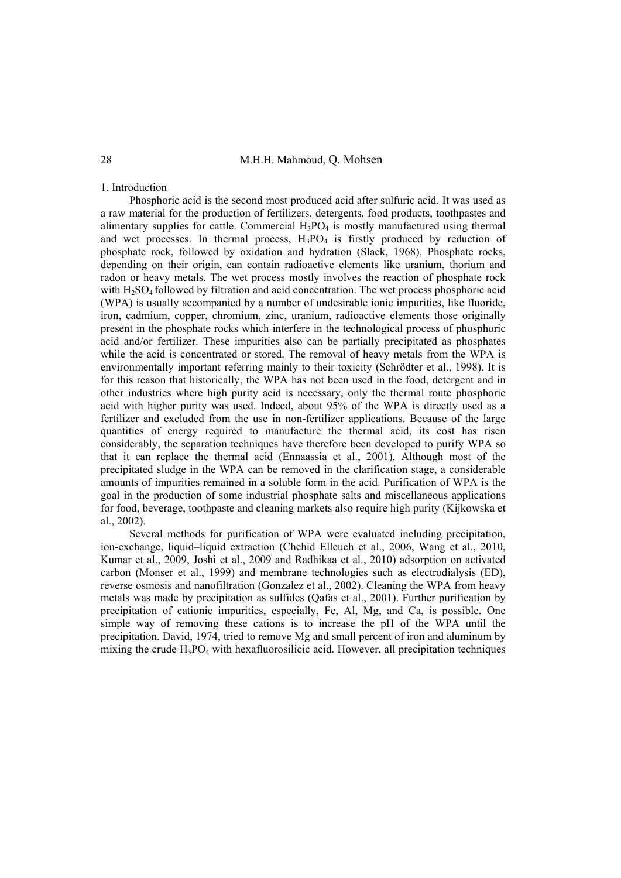## 28 M.H.H. Mahmoud, Q. Mohsen

## 1. Introduction

Phosphoric acid is the second most produced acid after sulfuric acid. It was used as a raw material for the production of fertilizers, detergents, food products, toothpastes and alimentary supplies for cattle. Commercial  $H_3PO_4$  is mostly manufactured using thermal and wet processes. In thermal process,  $H_3PO_4$  is firstly produced by reduction of phosphate rock, followed by oxidation and hydration (Slack, 1968). Phosphate rocks, depending on their origin, can contain radioactive elements like uranium, thorium and radon or heavy metals. The wet process mostly involves the reaction of phosphate rock with H<sub>2</sub>SO<sub>4</sub> followed by filtration and acid concentration. The wet process phosphoric acid (WPA) is usually accompanied by a number of undesirable ionic impurities, like fluoride, iron, cadmium, copper, chromium, zinc, uranium, radioactive elements those originally present in the phosphate rocks which interfere in the technological process of phosphoric acid and/or fertilizer. These impurities also can be partially precipitated as phosphates while the acid is concentrated or stored. The removal of heavy metals from the WPA is environmentally important referring mainly to their toxicity (Schrödter et al., 1998). It is for this reason that historically, the WPA has not been used in the food, detergent and in other industries where high purity acid is necessary, only the thermal route phosphoric acid with higher purity was used. Indeed, about 95% of the WPA is directly used as a fertilizer and excluded from the use in non-fertilizer applications. Because of the large quantities of energy required to manufacture the thermal acid, its cost has risen considerably, the separation techniques have therefore been developed to purify WPA so that it can replace the thermal acid (Ennaassia et al., 2001). Although most of the precipitated sludge in the WPA can be removed in the clarification stage, a considerable amounts of impurities remained in a soluble form in the acid. Purification of WPA is the goal in the production of some industrial phosphate salts and miscellaneous applications for food, beverage, toothpaste and cleaning markets also require high purity (Kijkowska et al., 2002).

Several methods for purification of WPA were evaluated including precipitation, ion-exchange, liquid–liquid extraction (Chehid Elleuch et al., 2006, Wang et al., 2010, Kumar et al., 2009, Joshi et al., 2009 and Radhikaa et al., 2010) adsorption on activated carbon (Monser et al., 1999) and membrane technologies such as electrodialysis (ED), reverse osmosis and nanofiltration (Gonzalez et al., 2002). Cleaning the WPA from heavy metals was made by precipitation as sulfides (Qafas et al., 2001). Further purification by precipitation of cationic impurities, especially, Fe, Al, Mg, and Ca, is possible. One simple way of removing these cations is to increase the pH of the WPA until the precipitation. David, 1974, tried to remove Mg and small percent of iron and aluminum by mixing the crude  $H_3PO_4$  with hexafluorosilicic acid. However, all precipitation techniques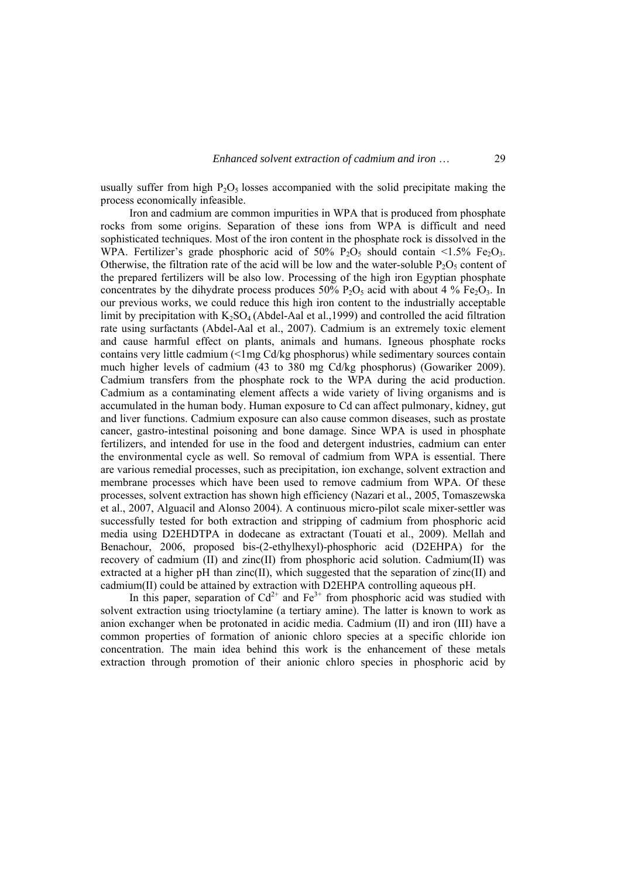usually suffer from high  $P_2O_5$  losses accompanied with the solid precipitate making the process economically infeasible.

Iron and cadmium are common impurities in WPA that is produced from phosphate rocks from some origins. Separation of these ions from WPA is difficult and need sophisticated techniques. Most of the iron content in the phosphate rock is dissolved in the WPA. Fertilizer's grade phosphoric acid of 50%  $P_2O_5$  should contain <1.5% Fe<sub>2</sub>O<sub>3</sub>. Otherwise, the filtration rate of the acid will be low and the water-soluble  $P_2O_5$  content of the prepared fertilizers will be also low. Processing of the high iron Egyptian phosphate concentrates by the dihydrate process produces  $50\%$  P<sub>2</sub>O<sub>5</sub> acid with about 4 % Fe<sub>2</sub>O<sub>3</sub>. In our previous works, we could reduce this high iron content to the industrially acceptable limit by precipitation with  $K_2SO_4$  (Abdel-Aal et al., 1999) and controlled the acid filtration rate using surfactants (Abdel-Aal et al., 2007). Cadmium is an extremely toxic element and cause harmful effect on plants, animals and humans. Igneous phosphate rocks contains very little cadmium (<1mg Cd/kg phosphorus) while sedimentary sources contain much higher levels of cadmium (43 to 380 mg Cd/kg phosphorus) (Gowariker 2009). Cadmium transfers from the phosphate rock to the WPA during the acid production. Cadmium as a contaminating element affects a wide variety of living organisms and is accumulated in the human body. Human exposure to Cd can affect pulmonary, kidney, gut and liver functions. Cadmium exposure can also cause common diseases, such as prostate cancer, gastro-intestinal poisoning and bone damage. Since WPA is used in phosphate fertilizers, and intended for use in the food and detergent industries, cadmium can enter the environmental cycle as well. So removal of cadmium from WPA is essential. There are various remedial processes, such as precipitation, ion exchange, solvent extraction and membrane processes which have been used to remove cadmium from WPA. Of these processes, solvent extraction has shown high efficiency (Nazari et al., 2005, Tomaszewska et al., 2007, Alguacil and Alonso 2004). A continuous micro-pilot scale mixer-settler was successfully tested for both extraction and stripping of cadmium from phosphoric acid media using D2EHDTPA in dodecane as extractant (Touati et al., 2009). Mellah and Benachour, 2006, proposed bis-(2-ethylhexyl)-phosphoric acid (D2EHPA) for the recovery of cadmium (II) and zinc(II) from phosphoric acid solution. Cadmium(II) was extracted at a higher pH than zinc(II), which suggested that the separation of zinc(II) and cadmium(II) could be attained by extraction with D2EHPA controlling aqueous pH.

In this paper, separation of  $Cd^{2+}$  and  $Fe^{3+}$  from phosphoric acid was studied with solvent extraction using trioctylamine (a tertiary amine). The latter is known to work as anion exchanger when be protonated in acidic media. Cadmium (II) and iron (III) have a common properties of formation of anionic chloro species at a specific chloride ion concentration. The main idea behind this work is the enhancement of these metals extraction through promotion of their anionic chloro species in phosphoric acid by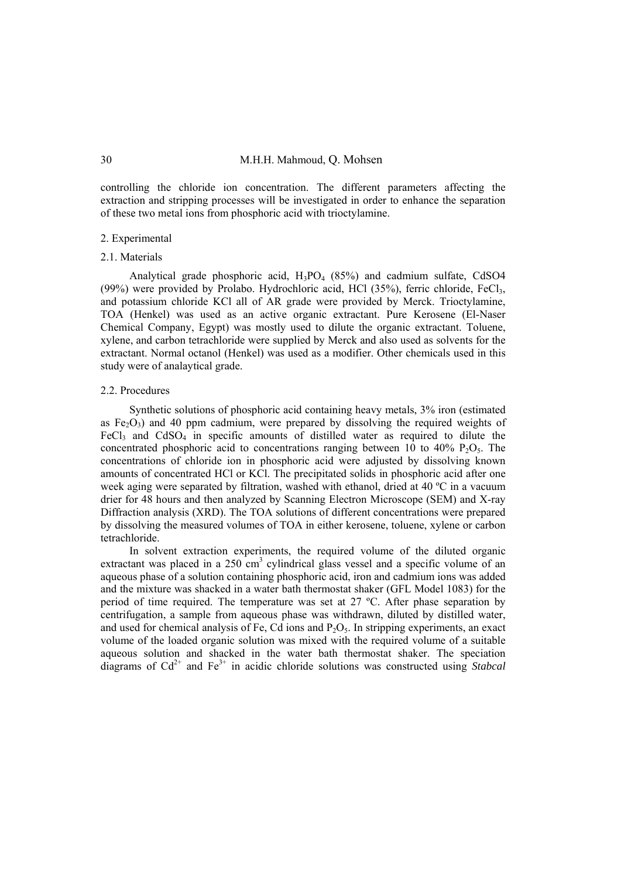controlling the chloride ion concentration. The different parameters affecting the extraction and stripping processes will be investigated in order to enhance the separation of these two metal ions from phosphoric acid with trioctylamine.

#### 2. Experimental

#### 2.1. Materials

Analytical grade phosphoric acid,  $H_3PO_4$  (85%) and cadmium sulfate, CdSO4 (99%) were provided by Prolabo. Hydrochloric acid, HCl  $(35\%)$ , ferric chloride, FeCl<sub>3</sub>, and potassium chloride KCl all of AR grade were provided by Merck. Trioctylamine, TOA (Henkel) was used as an active organic extractant. Pure Kerosene (El-Naser Chemical Company, Egypt) was mostly used to dilute the organic extractant. Toluene, xylene, and carbon tetrachloride were supplied by Merck and also used as solvents for the extractant. Normal octanol (Henkel) was used as a modifier. Other chemicals used in this study were of analaytical grade.

#### 2.2. Procedures

Synthetic solutions of phosphoric acid containing heavy metals, 3% iron (estimated as  $Fe<sub>2</sub>O<sub>3</sub>$ ) and 40 ppm cadmium, were prepared by dissolving the required weights of FeCl<sub>3</sub> and CdSO<sub>4</sub> in specific amounts of distilled water as required to dilute the concentrated phosphoric acid to concentrations ranging between 10 to 40%  $P_2O_5$ . The concentrations of chloride ion in phosphoric acid were adjusted by dissolving known amounts of concentrated HCl or KCl. The precipitated solids in phosphoric acid after one week aging were separated by filtration, washed with ethanol, dried at 40 ºC in a vacuum drier for 48 hours and then analyzed by Scanning Electron Microscope (SEM) and X-ray Diffraction analysis (XRD). The TOA solutions of different concentrations were prepared by dissolving the measured volumes of TOA in either kerosene, toluene, xylene or carbon tetrachloride.

In solvent extraction experiments, the required volume of the diluted organic extractant was placed in a  $250 \text{ cm}^3$  cylindrical glass vessel and a specific volume of an aqueous phase of a solution containing phosphoric acid, iron and cadmium ions was added and the mixture was shacked in a water bath thermostat shaker (GFL Model 1083) for the period of time required. The temperature was set at 27 ºC. After phase separation by centrifugation, a sample from aqueous phase was withdrawn, diluted by distilled water, and used for chemical analysis of Fe, Cd ions and  $P_2O_5$ . In stripping experiments, an exact volume of the loaded organic solution was mixed with the required volume of a suitable aqueous solution and shacked in the water bath thermostat shaker. The speciation diagrams of  $Cd^{2+}$  and  $Fe^{3+}$  in acidic chloride solutions was constructed using *Stabcal*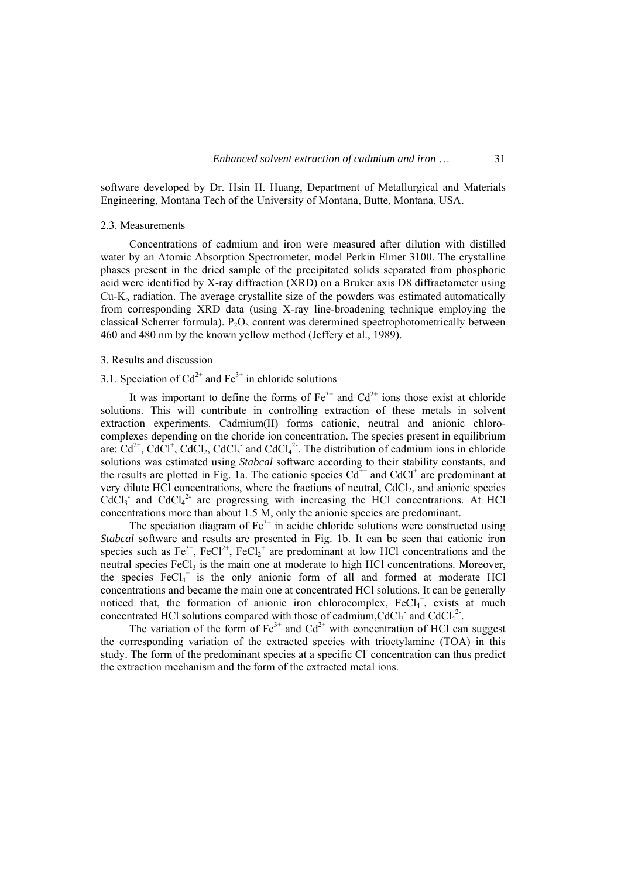software developed by Dr. Hsin H. Huang, Department of Metallurgical and Materials Engineering, Montana Tech of the University of Montana, Butte, Montana, USA.

#### 2.3. Measurements

Concentrations of cadmium and iron were measured after dilution with distilled water by an Atomic Absorption Spectrometer, model Perkin Elmer 3100. The crystalline phases present in the dried sample of the precipitated solids separated from phosphoric acid were identified by X-ray diffraction (XRD) on a Bruker axis D8 diffractometer using Cu-K<sub>α</sub> radiation. The average crystallite size of the powders was estimated automatically from corresponding XRD data (using X-ray line-broadening technique employing the classical Scherrer formula).  $P_2O_5$  content was determined spectrophotometrically between 460 and 480 nm by the known yellow method (Jeffery et al., 1989).

#### 3. Results and discussion

## 3.1. Speciation of  $Cd^{2+}$  and  $Fe^{3+}$  in chloride solutions

It was important to define the forms of  $Fe^{3+}$  and  $Cd^{2+}$  ions those exist at chloride solutions. This will contribute in controlling extraction of these metals in solvent extraction experiments. Cadmium(II) forms cationic, neutral and anionic chlorocomplexes depending on the choride ion concentration. The species present in equilibrium are:  $Cd^{2+}$ , CdCl<sup>+</sup>, CdCl<sub>2</sub>, CdCl<sub>3</sub><sup>-</sup> and CdCl<sub>4</sub><sup>2</sup>. The distribution of cadmium ions in chloride solutions was estimated using *Stabcal* software according to their stability constants, and the results are plotted in Fig. 1a. The cationic species  $Cd^{++}$  and  $CdCl^+$  are predominant at very dilute HCl concentrations, where the fractions of neutral,  $CdCl<sub>2</sub>$ , and anionic species  $CdCl<sub>3</sub>$  and  $CdCl<sub>4</sub><sup>2</sup>$  are progressing with increasing the HCl concentrations. At HCl concentrations more than about 1.5 M, only the anionic species are predominant.

The speciation diagram of  $Fe<sup>3+</sup>$  in acidic chloride solutions were constructed using *Stabcal* software and results are presented in Fig. 1b. It can be seen that cationic iron species such as  $Fe^{3+}$ ,  $FeCl<sup>2+</sup>$ ,  $FeCl<sup>2+</sup>$  are predominant at low HCl concentrations and the neutral species  $FeCl<sub>3</sub>$  is the main one at moderate to high HCl concentrations. Moreover, the species  $FeCl<sub>4</sub>^-$  is the only anionic form of all and formed at moderate HCl concentrations and became the main one at concentrated HCl solutions. It can be generally noticed that, the formation of anionic iron chlorocomplex, FeCl<sub>4</sub><sup>-</sup>, exists at much concentrated HCl solutions compared with those of cadmium, CdCl<sub>3</sub> and CdCl<sub>4</sub><sup>2</sup>.

The variation of the form of  $Fe^{3+}$  and  $Cd^{2+}$  with concentration of HCl can suggest the corresponding variation of the extracted species with trioctylamine (TOA) in this study. The form of the predominant species at a specific Cl<sup>-</sup> concentration can thus predict the extraction mechanism and the form of the extracted metal ions.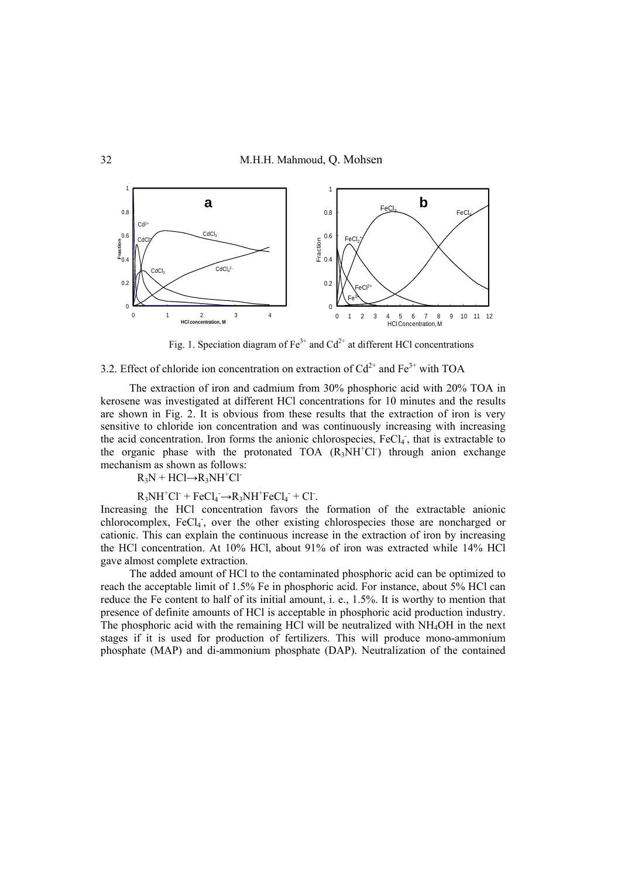

Fig. 1. Speciation diagram of  $Fe^{3+}$  and  $Cd^{2+}$  at different HCl concentrations

# 3.2. Effect of chloride ion concentration on extraction of  $Cd^{2+}$  and  $Fe^{3+}$  with TOA

The extraction of iron and cadmium from 30% phosphoric acid with 20% TOA in kerosene was investigated at different HCl concentrations for 10 minutes and the results are shown in Fig. 2. It is obvious from these results that the extraction of iron is very sensitive to chloride ion concentration and was continuously increasing with increasing the acid concentration. Iron forms the anionic chlorospecies, FeCl<sub>4</sub>, that is extractable to the organic phase with the protonated TOA  $(R_3NH<sup>+</sup>Cl<sup>-</sup>)$  through anion exchange mechanism as shown as follows:

 $R_3N + HCl \rightarrow R_3NH^+Cl^-$ 

## $R_3NH^+Cl^-$  +  $FeCl_4^ \rightarrow$   $R_3NH^+FeCl_4^-$  +  $Cl^-$ .

Increasing the HCl concentration favors the formation of the extractable anionic chlorocomplex, FeCl<sub>4</sub>, over the other existing chlorospecies those are noncharged or cationic. This can explain the continuous increase in the extraction of iron by increasing the HCl concentration. At 10% HCl, about 91% of iron was extracted while 14% HCl gave almost complete extraction.

The added amount of HCl to the contaminated phosphoric acid can be optimized to reach the acceptable limit of 1.5% Fe in phosphoric acid. For instance, about 5% HCl can reduce the Fe content to half of its initial amount, i. e., 1.5%. It is worthy to mention that presence of definite amounts of HCl is acceptable in phosphoric acid production industry. The phosphoric acid with the remaining HCl will be neutralized with NH4OH in the next stages if it is used for production of fertilizers. This will produce mono-ammonium phosphate (MAP) and di-ammonium phosphate (DAP). Neutralization of the contained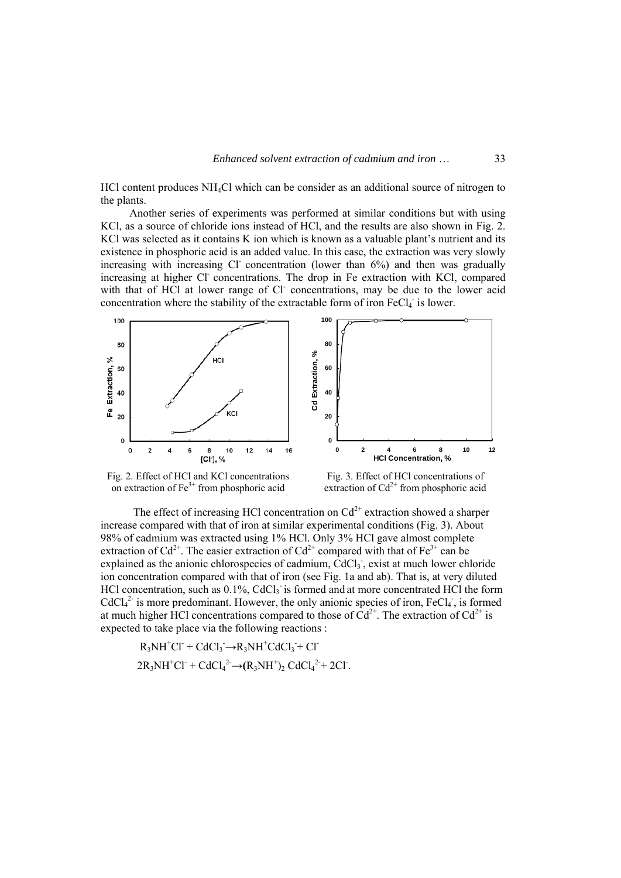HCl content produces NH4Cl which can be consider as an additional source of nitrogen to the plants.

Another series of experiments was performed at similar conditions but with using KCl, as a source of chloride ions instead of HCl, and the results are also shown in Fig. 2. KCl was selected as it contains K ion which is known as a valuable plant's nutrient and its existence in phosphoric acid is an added value. In this case, the extraction was very slowly increasing with increasing Cl concentration (lower than  $6\%$ ) and then was gradually increasing at higher Cl- concentrations. The drop in Fe extraction with KCl, compared with that of HCl at lower range of Cl concentrations, may be due to the lower acid concentration where the stability of the extractable form of iron  $FeCl<sub>4</sub>$  is lower.



Fig. 2. Effect of HCl and KCl concentrations on extraction of  $Fe<sup>3+</sup>$  from phosphoric acid

Fig. 3. Effect of HCl concentrations of extraction of  $Cd^{2+}$  from phosphoric acid

The effect of increasing HCl concentration on  $Cd^{2+}$  extraction showed a sharper increase compared with that of iron at similar experimental conditions (Fig. 3). About 98% of cadmium was extracted using 1% HCl. Only 3% HCl gave almost complete extraction of  $Cd^{2+}$ . The easier extraction of  $Cd^{2+}$  compared with that of Fe<sup>3+</sup> can be explained as the anionic chlorospecies of cadmium, CdCl<sub>3</sub>, exist at much lower chloride ion concentration compared with that of iron (see Fig. 1a and ab). That is, at very diluted HCl concentration, such as 0.1%, CdCl<sub>3</sub> is formed and at more concentrated HCl the form  $CdCl<sub>4</sub><sup>2</sup>$  is more predominant. However, the only anionic species of iron, FeCl<sub>4</sub>, is formed at much higher HCl concentrations compared to those of  $Cd^{2+}$ . The extraction of  $Cd^{2+}$  is expected to take place via the following reactions :

$$
R_3NH^+Cl^- + CdCl_3^- \rightarrow R_3NH^+ CdCl_3^- + Cl^-
$$
  

$$
2R_3NH^+Cl^- + CdCl_4^2 \rightarrow (R_3NH^+)_2 CdCl_4^{2+} + 2Cl^-.
$$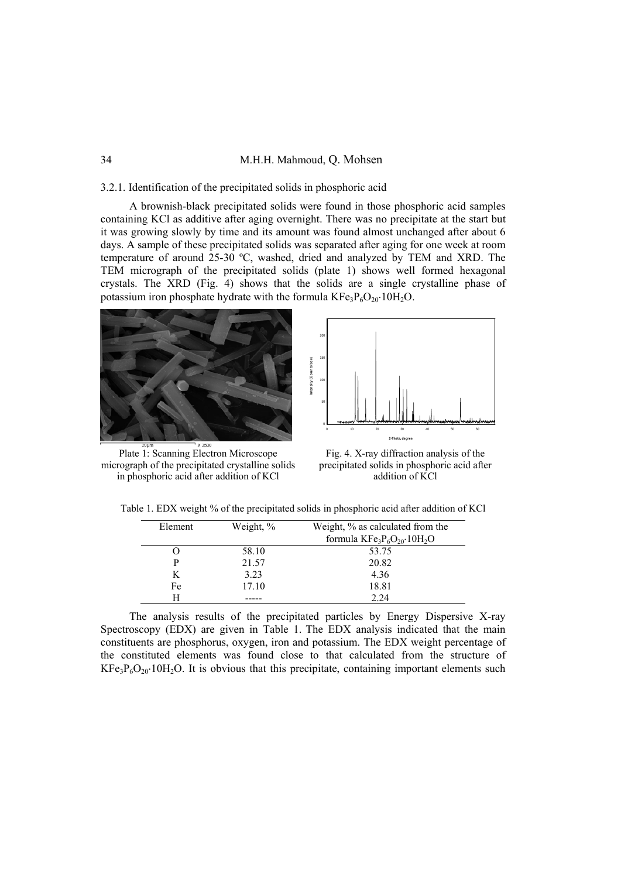## 34 M.H.H. Mahmoud, Q. Mohsen

## 3.2.1. Identification of the precipitated solids in phosphoric acid

A brownish-black precipitated solids were found in those phosphoric acid samples containing KCl as additive after aging overnight. There was no precipitate at the start but it was growing slowly by time and its amount was found almost unchanged after about 6 days. A sample of these precipitated solids was separated after aging for one week at room temperature of around 25-30 ºC, washed, dried and analyzed by TEM and XRD. The TEM micrograph of the precipitated solids (plate 1) shows well formed hexagonal crystals. The XRD (Fig. 4) shows that the solids are a single crystalline phase of potassium iron phosphate hydrate with the formula  $KF_{3}P_{6}O_{20} \cdot 10H_{2}O$ .

150

200



**Intensity (Counts/sec)** itensity (Counts/sec) 100 50 0 10 20 30 40 50 60 **2-Theta, degree**

Plate 1: Scanning Electron Microscope micrograph of the precipitated crystalline solids in phosphoric acid after addition of KCl

Fig. 4. X-ray diffraction analysis of the precipitated solids in phosphoric acid after addition of KCl

Table 1. EDX weight % of the precipitated solids in phosphoric acid after addition of KCl

| Weight, % | Weight, % as calculated from the                            |  |
|-----------|-------------------------------------------------------------|--|
|           | formula $KF$ e <sub>3</sub> $P_6O_{20}$ ·10H <sub>2</sub> O |  |
| 58.10     | 53.75                                                       |  |
| 21.57     | 20.82                                                       |  |
| 3.23      | 4.36                                                        |  |
| 17.10     | 18.81                                                       |  |
|           | 2.24                                                        |  |
|           |                                                             |  |

The analysis results of the precipitated particles by Energy Dispersive X-ray Spectroscopy (EDX) are given in Table 1. The EDX analysis indicated that the main constituents are phosphorus, oxygen, iron and potassium. The EDX weight percentage of the constituted elements was found close to that calculated from the structure of  $KFe<sub>3</sub>P<sub>6</sub>O<sub>20</sub>$  10H<sub>2</sub>O. It is obvious that this precipitate, containing important elements such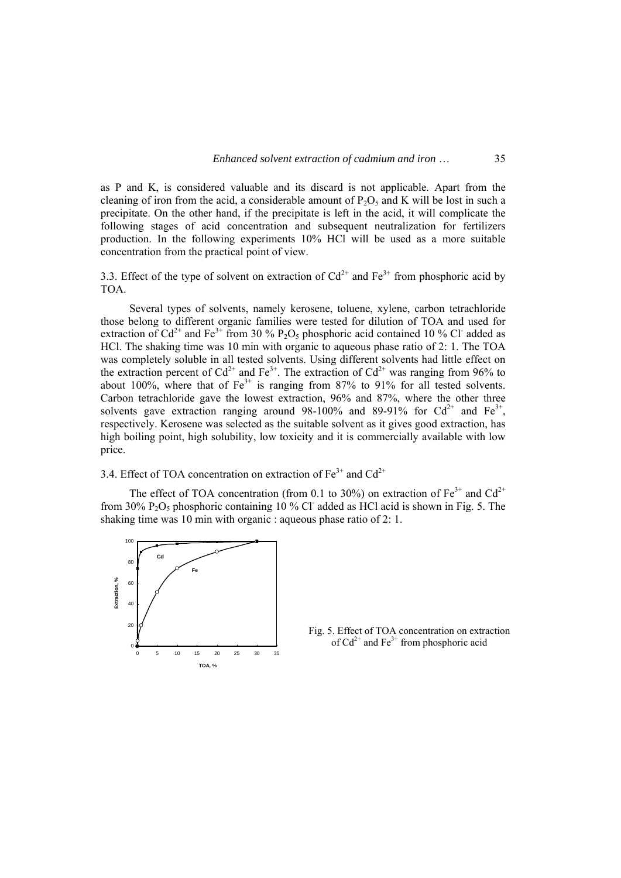as P and K, is considered valuable and its discard is not applicable. Apart from the cleaning of iron from the acid, a considerable amount of  $P_2O_5$  and K will be lost in such a precipitate. On the other hand, if the precipitate is left in the acid, it will complicate the following stages of acid concentration and subsequent neutralization for fertilizers production. In the following experiments 10% HCl will be used as a more suitable concentration from the practical point of view.

3.3. Effect of the type of solvent on extraction of  $Cd^{2+}$  and  $Fe^{3+}$  from phosphoric acid by TOA.

Several types of solvents, namely kerosene, toluene, xylene, carbon tetrachloride those belong to different organic families were tested for dilution of TOA and used for extraction of Cd<sup>2+</sup> and Fe<sup>3+</sup> from 30 % P<sub>2</sub>O<sub>5</sub> phosphoric acid contained 10 % Cl<sup>-</sup> added as HCl. The shaking time was 10 min with organic to aqueous phase ratio of 2: 1. The TOA was completely soluble in all tested solvents. Using different solvents had little effect on the extraction percent of  $Cd^{2+}$  and  $Fe^{3+}$ . The extraction of  $Cd^{2+}$  was ranging from 96% to about 100%, where that of  $Fe^{3+}$  is ranging from 87% to 91% for all tested solvents. Carbon tetrachloride gave the lowest extraction, 96% and 87%, where the other three solvents gave extraction ranging around 98-100% and 89-91% for  $Cd^{2+}$  and  $Fe^{3+}$ , respectively. Kerosene was selected as the suitable solvent as it gives good extraction, has high boiling point, high solubility, low toxicity and it is commercially available with low price.

3.4. Effect of TOA concentration on extraction of  $Fe^{3+}$  and  $Cd^{2+}$ 

The effect of TOA concentration (from 0.1 to 30%) on extraction of  $Fe^{3+}$  and  $Cd^{2+}$ from 30%  $P_2O_5$  phosphoric containing 10 % Cl<sup>-</sup> added as HCl acid is shown in Fig. 5. The shaking time was 10 min with organic : aqueous phase ratio of 2: 1.



Fig. 5. Effect of TOA concentration on extraction of  $Cd^{2+}$  and Fe<sup>3+</sup> from phosphoric acid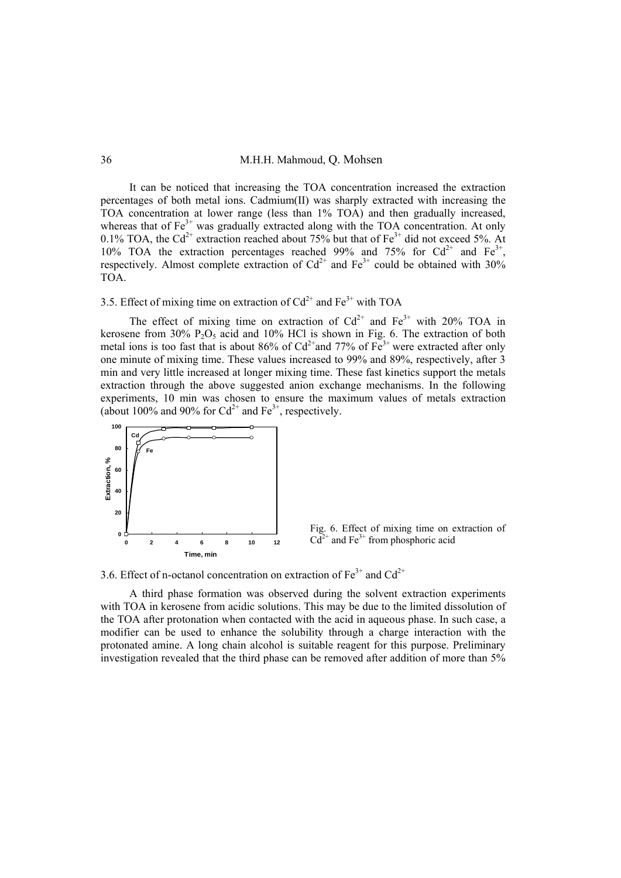## 36 M.H.H. Mahmoud, Q. Mohsen

It can be noticed that increasing the TOA concentration increased the extraction percentages of both metal ions. Cadmium(II) was sharply extracted with increasing the TOA concentration at lower range (less than 1% TOA) and then gradually increased, whereas that of  $Fe<sup>3+</sup>$  was gradually extracted along with the TOA concentration. At only 0.1% TOA, the Cd<sup>2+</sup> extraction reached about 75% but that of  $Fe^{3+}$  did not exceed 5%. At 10% TOA the extraction percentages reached 99% and 75% for  $Cd^{2+}$  and  $Fe^{3+}$ , respectively. Almost complete extraction of  $Cd^{2+}$  and  $Fe^{3+}$  could be obtained with 30% TOA.

## 3.5. Effect of mixing time on extraction of  $Cd^{2+}$  and  $Fe^{3+}$  with TOA

The effect of mixing time on extraction of  $Cd^{2+}$  and  $Fe^{3+}$  with 20% TOA in kerosene from  $30\%$  P<sub>2</sub>O<sub>5</sub> acid and 10% HCl is shown in Fig. 6. The extraction of both metal ions is too fast that is about 86% of  $Cd^{2+}$  and 77% of  $Fe^{3+}$  were extracted after only one minute of mixing time. These values increased to 99% and 89%, respectively, after 3 min and very little increased at longer mixing time. These fast kinetics support the metals extraction through the above suggested anion exchange mechanisms. In the following experiments, 10 min was chosen to ensure the maximum values of metals extraction (about 100% and 90% for  $Cd^{2+}$  and Fe<sup>3+</sup>, respectively.



Fig. 6. Effect of mixing time on extraction of  $Cd^{2+}$  and Fe<sup>3+</sup> from phosphoric acid

3.6. Effect of n-octanol concentration on extraction of  $Fe^{3+}$  and  $Cd^{2+}$ 

A third phase formation was observed during the solvent extraction experiments with TOA in kerosene from acidic solutions. This may be due to the limited dissolution of the TOA after protonation when contacted with the acid in aqueous phase. In such case, a modifier can be used to enhance the solubility through a charge interaction with the protonated amine. A long chain alcohol is suitable reagent for this purpose. Preliminary investigation revealed that the third phase can be removed after addition of more than 5%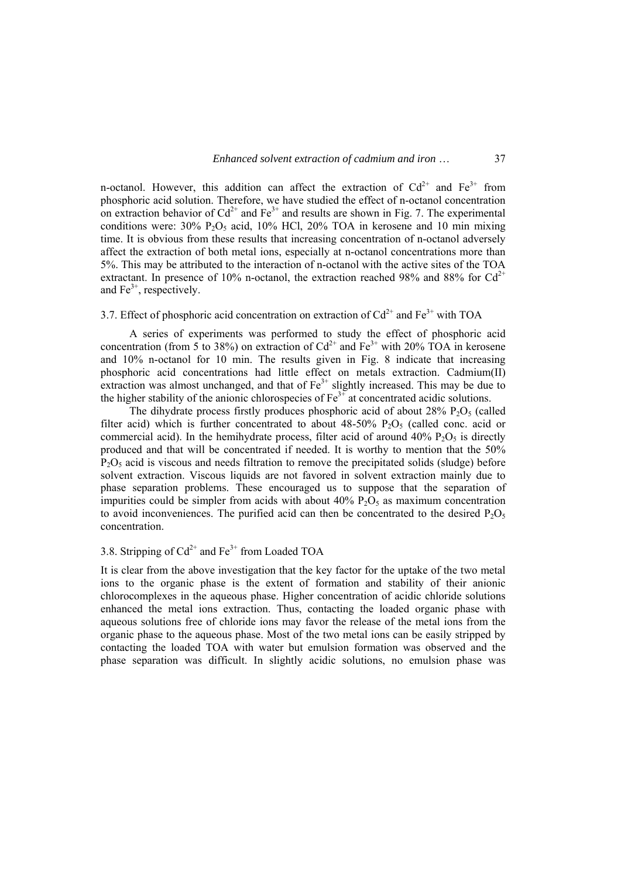n-octanol. However, this addition can affect the extraction of  $Cd^{2+}$  and  $Fe^{3+}$  from phosphoric acid solution. Therefore, we have studied the effect of n-octanol concentration on extraction behavior of  $Cd^{2+}$  and  $Fe^{3+}$  and results are shown in Fig. 7. The experimental conditions were:  $30\%$  P<sub>2</sub>O<sub>5</sub> acid,  $10\%$  HCl, 20% TOA in kerosene and 10 min mixing time. It is obvious from these results that increasing concentration of n-octanol adversely affect the extraction of both metal ions, especially at n-octanol concentrations more than 5%. This may be attributed to the interaction of n-octanol with the active sites of the TOA extractant. In presence of 10% n-octanol, the extraction reached 98% and 88% for  $Cd^{2+}$ and  $Fe<sup>3+</sup>$ , respectively.

## 3.7. Effect of phosphoric acid concentration on extraction of  $Cd^{2+}$  and  $Fe^{3+}$  with TOA

A series of experiments was performed to study the effect of phosphoric acid concentration (from 5 to 38%) on extraction of  $Cd^{2+}$  and  $Fe^{3+}$  with 20% TOA in kerosene and 10% n-octanol for 10 min. The results given in Fig. 8 indicate that increasing phosphoric acid concentrations had little effect on metals extraction. Cadmium(II) extraction was almost unchanged, and that of  $Fe<sup>3+</sup>$  slightly increased. This may be due to the higher stability of the anionic chlorospecies of  $Fe<sup>3+</sup>$  at concentrated acidic solutions.

The dihydrate process firstly produces phosphoric acid of about  $28\%$  P<sub>2</sub>O<sub>5</sub> (called filter acid) which is further concentrated to about  $48-50\%$  P<sub>2</sub>O<sub>5</sub> (called conc. acid or commercial acid). In the hemihydrate process, filter acid of around  $40\%$  P<sub>2</sub>O<sub>5</sub> is directly produced and that will be concentrated if needed. It is worthy to mention that the 50%  $P_2O_5$  acid is viscous and needs filtration to remove the precipitated solids (sludge) before solvent extraction. Viscous liquids are not favored in solvent extraction mainly due to phase separation problems. These encouraged us to suppose that the separation of impurities could be simpler from acids with about  $40\%$  P<sub>2</sub>O<sub>5</sub> as maximum concentration to avoid inconveniences. The purified acid can then be concentrated to the desired  $P_2O_5$ concentration.

## 3.8. Stripping of  $Cd^{2+}$  and  $Fe^{3+}$  from Loaded TOA

It is clear from the above investigation that the key factor for the uptake of the two metal ions to the organic phase is the extent of formation and stability of their anionic chlorocomplexes in the aqueous phase. Higher concentration of acidic chloride solutions enhanced the metal ions extraction. Thus, contacting the loaded organic phase with aqueous solutions free of chloride ions may favor the release of the metal ions from the organic phase to the aqueous phase. Most of the two metal ions can be easily stripped by contacting the loaded TOA with water but emulsion formation was observed and the phase separation was difficult. In slightly acidic solutions, no emulsion phase was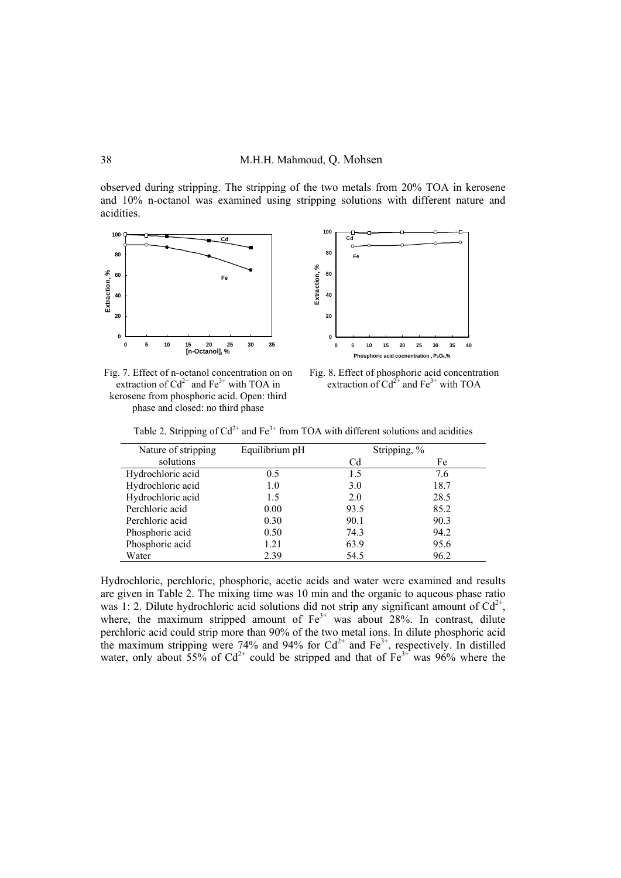observed during stripping. The stripping of the two metals from 20% TOA in kerosene and 10% n-octanol was examined using stripping solutions with different nature and acidities.





Fig. 7. Effect of n-octanol concentration on on extraction of  $Cd^{2+}$  and  $Fe^{3+}$  with TOA in kerosene from phosphoric acid. Open: third phase and closed: no third phase

Fig. 8. Effect of phosphoric acid concentration extraction of  $Cd^{2+}$  and  $Fe^{3+}$  with TOA

Table 2. Stripping of  $Cd^{2+}$  and Fe<sup>3+</sup> from TOA with different solutions and acidities

| Nature of stripping | Equilibrium pH | Stripping, % |      |
|---------------------|----------------|--------------|------|
| solutions           |                | Cd           | Fe   |
| Hydrochloric acid   | 0.5            | 1.5          | 7.6  |
| Hydrochloric acid   | 1.0            | 3.0          | 18.7 |
| Hydrochloric acid   | 1.5            | 2.0          | 28.5 |
| Perchloric acid     | 0.00           | 93.5         | 85.2 |
| Perchloric acid     | 0.30           | 90.1         | 90.3 |
| Phosphoric acid     | 0.50           | 74.3         | 94.2 |
| Phosphoric acid     | 1.21           | 63.9         | 95.6 |
| Water               | 2.39           | 54.5         | 96.2 |

Hydrochloric, perchloric, phosphoric, acetic acids and water were examined and results are given in Table 2. The mixing time was 10 min and the organic to aqueous phase ratio was 1: 2. Dilute hydrochloric acid solutions did not strip any significant amount of  $Cd^{2+}$ , where, the maximum stripped amount of  $Fe<sup>3+</sup>$  was about 28%. In contrast, dilute perchloric acid could strip more than 90% of the two metal ions. In dilute phosphoric acid the maximum stripping were 74% and 94% for  $Cd^{2+}$  and  $Fe^{3+}$ , respectively. In distilled water, only about 55% of  $Cd^{2+}$  could be stripped and that of  $Fe^{3+}$  was 96% where the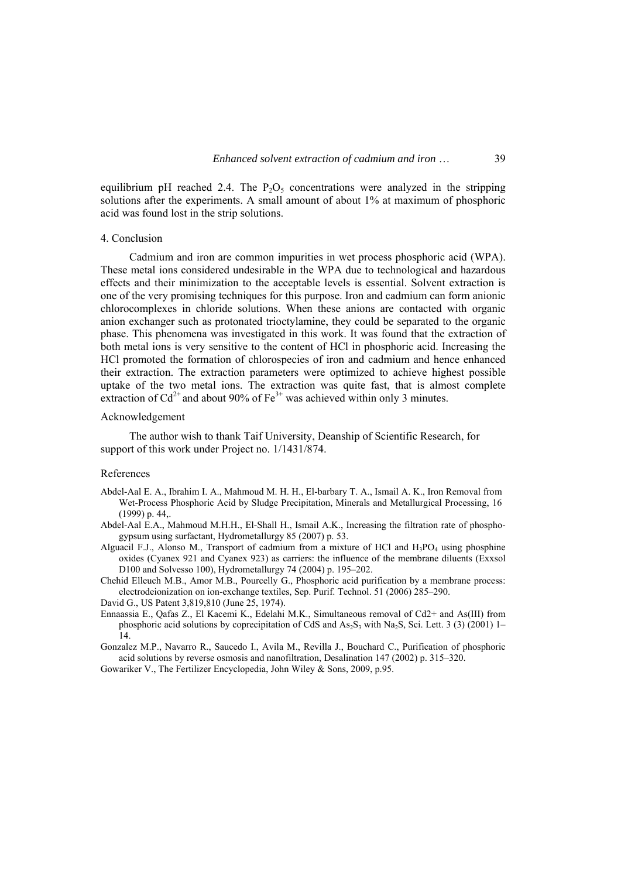equilibrium pH reached 2.4. The  $P_2O_5$  concentrations were analyzed in the stripping solutions after the experiments. A small amount of about 1% at maximum of phosphoric acid was found lost in the strip solutions.

#### 4. Conclusion

Cadmium and iron are common impurities in wet process phosphoric acid (WPA). These metal ions considered undesirable in the WPA due to technological and hazardous effects and their minimization to the acceptable levels is essential. Solvent extraction is one of the very promising techniques for this purpose. Iron and cadmium can form anionic chlorocomplexes in chloride solutions. When these anions are contacted with organic anion exchanger such as protonated trioctylamine, they could be separated to the organic phase. This phenomena was investigated in this work. It was found that the extraction of both metal ions is very sensitive to the content of HCl in phosphoric acid. Increasing the HCl promoted the formation of chlorospecies of iron and cadmium and hence enhanced their extraction. The extraction parameters were optimized to achieve highest possible uptake of the two metal ions. The extraction was quite fast, that is almost complete extraction of  $Cd^{2+}$  and about 90% of  $Fe^{3+}$  was achieved within only 3 minutes.

#### Acknowledgement

The author wish to thank Taif University, Deanship of Scientific Research, for support of this work under Project no. 1/1431/874.

#### References

- Abdel-Aal E. A., Ibrahim I. A., Mahmoud M. H. H., El-barbary T. A., Ismail A. K., Iron Removal from Wet-Process Phosphoric Acid by Sludge Precipitation, Minerals and Metallurgical Processing, 16 (1999) p. 44,.
- Abdel-Aal E.A., Mahmoud M.H.H., El-Shall H., Ismail A.K., Increasing the filtration rate of phosphogypsum using surfactant, Hydrometallurgy 85 (2007) p. 53.
- Alguacil F.J., Alonso M., Transport of cadmium from a mixture of HCl and  $H_3PO_4$  using phosphine oxides (Cyanex 921 and Cyanex 923) as carriers: the influence of the membrane diluents (Exxsol D100 and Solvesso 100), Hydrometallurgy 74 (2004) p. 195–202.
- Chehid Elleuch M.B., Amor M.B., Pourcelly G., Phosphoric acid purification by a membrane process: electrodeionization on ion-exchange textiles, Sep. Purif. Technol. 51 (2006) 285–290.
- David G., US Patent 3,819,810 (June 25, 1974).
- Ennaassia E., Qafas Z., El Kacemi K., Edelahi M.K., Simultaneous removal of Cd2+ and As(III) from phosphoric acid solutions by coprecipitation of CdS and  $As_2S_3$  with Na<sub>2</sub>S, Sci. Lett. 3 (3) (2001) 1–  $\hat{14}$

Gonzalez M.P., Navarro R., Saucedo I., Avila M., Revilla J., Bouchard C., Purification of phosphoric acid solutions by reverse osmosis and nanofiltration, Desalination 147 (2002) p. 315–320.

Gowariker V., The Fertilizer Encyclopedia, John Wiley & Sons, 2009, p.95.